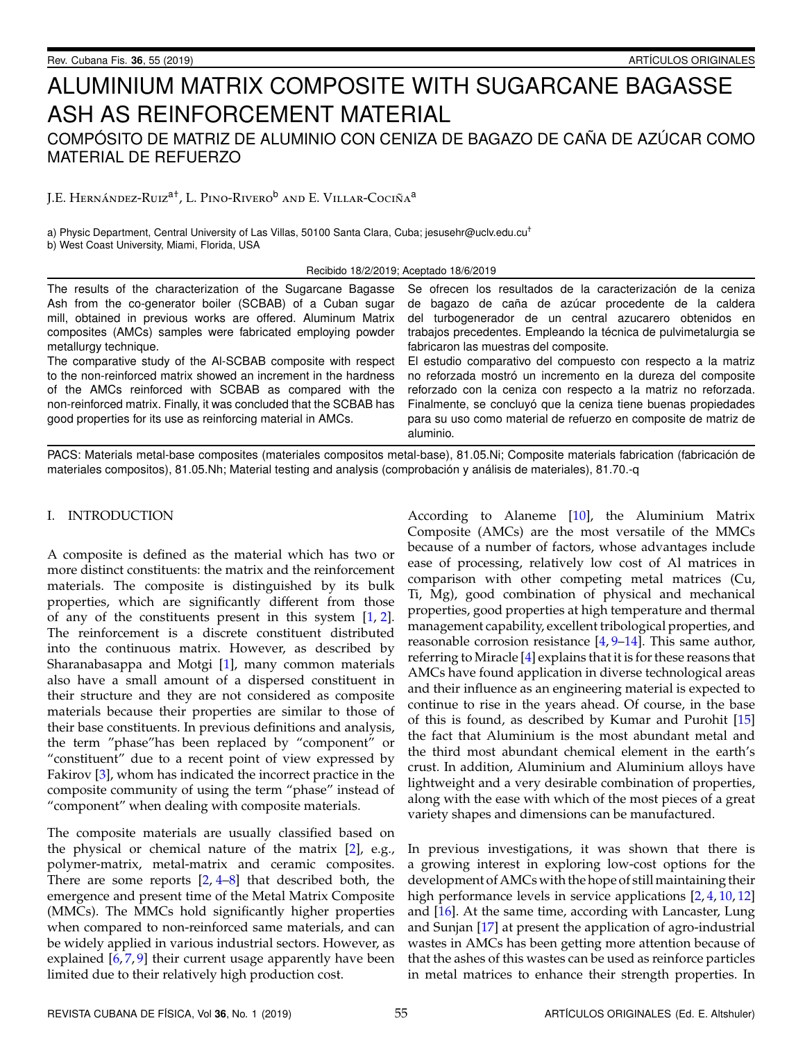# ALUMINIUM MATRIX COMPOSITE WITH SUGARCANE BAGASSE ASH AS REINFORCEMENT MATERIAL COMPÓSITO DE MATRIZ DE ALUMINIO CON CENIZA DE BAGAZO DE CAÑA DE AZÚCAR COMO MATERIAL DE REFUERZO

J.E. Hernández-Ruiz<sup>a†</sup>, L. Pino-Rivero<sup>b</sup> and E. Villar-Cociña<sup>a</sup>

a) Physic Department, Central University of Las Villas, 50100 Santa Clara, Cuba; jesusehr@uclv.edu.cu<sup>†</sup> b) West Coast University, Miami, Florida, USA

Recibido 18/2/2019; Aceptado 18/6/2019

| The results of the characterization of the Sugarcane Bagasse                                                                                                                                                                                                                                                                      | Se ofrecen los resultados de la caracterización de la ceniza                                                                                                                                                                                                                                                                                      |  |
|-----------------------------------------------------------------------------------------------------------------------------------------------------------------------------------------------------------------------------------------------------------------------------------------------------------------------------------|---------------------------------------------------------------------------------------------------------------------------------------------------------------------------------------------------------------------------------------------------------------------------------------------------------------------------------------------------|--|
| Ash from the co-generator boiler (SCBAB) of a Cuban sugar                                                                                                                                                                                                                                                                         | de bagazo de caña de azúcar procedente de la caldera                                                                                                                                                                                                                                                                                              |  |
| mill, obtained in previous works are offered. Aluminum Matrix                                                                                                                                                                                                                                                                     | del turbogenerador de un central azucarero obtenidos en                                                                                                                                                                                                                                                                                           |  |
| composites (AMCs) samples were fabricated employing powder                                                                                                                                                                                                                                                                        | trabajos precedentes. Empleando la técnica de pulvimetalurgia se                                                                                                                                                                                                                                                                                  |  |
| metallurgy technique.                                                                                                                                                                                                                                                                                                             | fabricaron las muestras del composite.                                                                                                                                                                                                                                                                                                            |  |
| The comparative study of the Al-SCBAB composite with respect<br>to the non-reinforced matrix showed an increment in the hardness<br>of the AMCs reinforced with SCBAB as compared with the<br>non-reinforced matrix. Finally, it was concluded that the SCBAB has<br>good properties for its use as reinforcing material in AMCs. | El estudio comparativo del compuesto con respecto a la matriz<br>no reforzada mostró un incremento en la dureza del composite<br>reforzado con la ceniza con respecto a la matriz no reforzada.<br>Finalmente, se concluyó que la ceniza tiene buenas propiedades<br>para su uso como material de refuerzo en composite de matriz de<br>aluminio. |  |

PACS: Materials metal-base composites (materiales compositos metal-base), 81.05.Ni; Composite materials fabrication (fabricación de materiales compositos), 81.05.Nh; Material testing and analysis (comprobación y análisis de materiales), 81.70.-q

#### I. INTRODUCTION

A composite is defined as the material which has two or more distinct constituents: the matrix and the reinforcement materials. The composite is distinguished by its bulk properties, which are significantly different from those of any of the constituents present in this system [\[1,](#page-3-0) [2\]](#page-3-1). The reinforcement is a discrete constituent distributed into the continuous matrix. However, as described by Sharanabasappa and Motgi [\[1\]](#page-3-0), many common materials also have a small amount of a dispersed constituent in their structure and they are not considered as composite materials because their properties are similar to those of their base constituents. In previous definitions and analysis, the term "phase"has been replaced by "component" or "constituent" due to a recent point of view expressed by Fakirov [\[3\]](#page-3-2), whom has indicated the incorrect practice in the composite community of using the term "phase" instead of "component" when dealing with composite materials.

The composite materials are usually classified based on the physical or chemical nature of the matrix [\[2\]](#page-3-1), e.g., polymer-matrix, metal-matrix and ceramic composites. There are some reports  $[2, 4-8]$  $[2, 4-8]$  $[2, 4-8]$  $[2, 4-8]$  that described both, the emergence and present time of the Metal Matrix Composite (MMCs). The MMCs hold significantly higher properties when compared to non-reinforced same materials, and can be widely applied in various industrial sectors. However, as explained [\[6,](#page-3-5)[7,](#page-3-6)[9\]](#page-3-7) their current usage apparently have been limited due to their relatively high production cost.

According to Alaneme [\[10\]](#page-3-8), the Aluminium Matrix Composite (AMCs) are the most versatile of the MMCs because of a number of factors, whose advantages include ease of processing, relatively low cost of Al matrices in comparison with other competing metal matrices (Cu, Ti, Mg), good combination of physical and mechanical properties, good properties at high temperature and thermal management capability, excellent tribological properties, and reasonable corrosion resistance [\[4,](#page-3-3) [9](#page-3-7)[–14\]](#page-3-9). This same author, referring to Miracle [\[4\]](#page-3-3) explains that it is for these reasons that AMCs have found application in diverse technological areas and their influence as an engineering material is expected to continue to rise in the years ahead. Of course, in the base of this is found, as described by Kumar and Purohit [\[15\]](#page-3-10) the fact that Aluminium is the most abundant metal and the third most abundant chemical element in the earth's crust. In addition, Aluminium and Aluminium alloys have lightweight and a very desirable combination of properties, along with the ease with which of the most pieces of a great variety shapes and dimensions can be manufactured.

In previous investigations, it was shown that there is a growing interest in exploring low-cost options for the development of AMCs with the hope of still maintaining their high performance levels in service applications [\[2,](#page-3-1) [4,](#page-3-3) [10,](#page-3-8) [12\]](#page-3-11) and [\[16\]](#page-3-12). At the same time, according with Lancaster, Lung and Sunjan [\[17\]](#page-3-13) at present the application of agro-industrial wastes in AMCs has been getting more attention because of that the ashes of this wastes can be used as reinforce particles in metal matrices to enhance their strength properties. In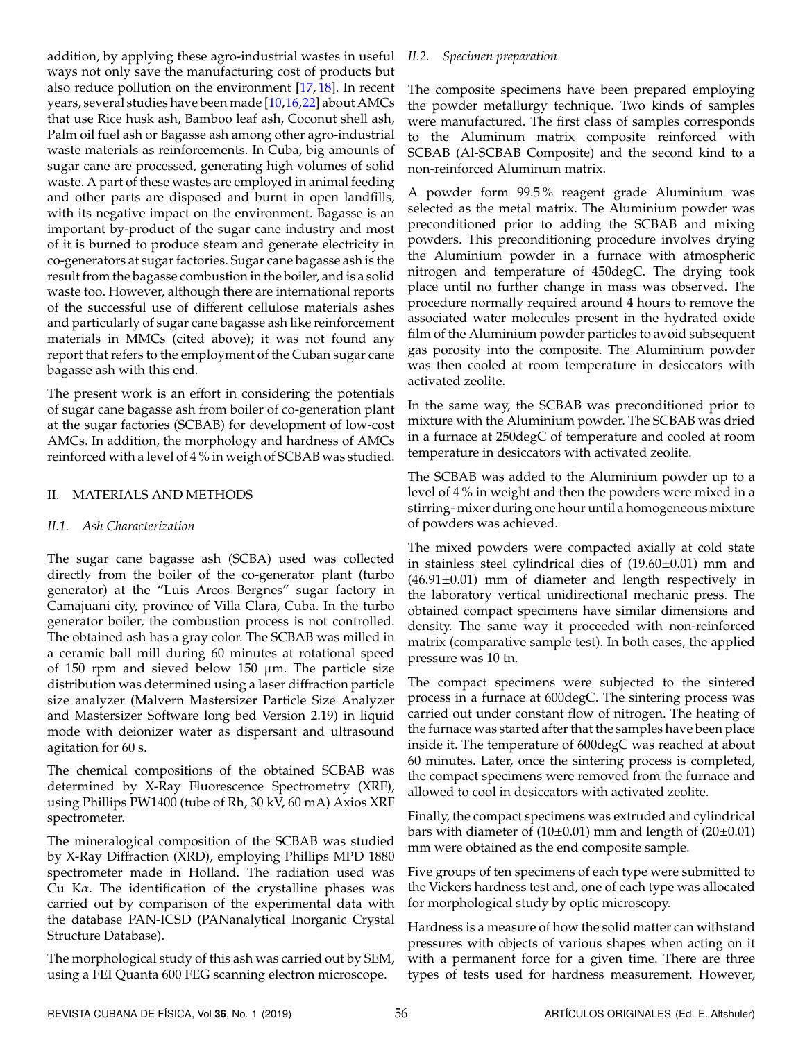addition, by applying these agro-industrial wastes in useful ways not only save the manufacturing cost of products but also reduce pollution on the environment [\[17,](#page-3-13) [18\]](#page-4-0). In recent years, several studies have been made [\[10](#page-3-8)[,16,](#page-3-12)[22\]](#page-4-1) about AMCs that use Rice husk ash, Bamboo leaf ash, Coconut shell ash, Palm oil fuel ash or Bagasse ash among other agro-industrial waste materials as reinforcements. In Cuba, big amounts of sugar cane are processed, generating high volumes of solid waste. A part of these wastes are employed in animal feeding and other parts are disposed and burnt in open landfills, with its negative impact on the environment. Bagasse is an important by-product of the sugar cane industry and most of it is burned to produce steam and generate electricity in co-generators at sugar factories. Sugar cane bagasse ash is the result from the bagasse combustion in the boiler, and is a solid waste too. However, although there are international reports of the successful use of different cellulose materials ashes and particularly of sugar cane bagasse ash like reinforcement materials in MMCs (cited above); it was not found any report that refers to the employment of the Cuban sugar cane bagasse ash with this end.

The present work is an effort in considering the potentials of sugar cane bagasse ash from boiler of co-generation plant at the sugar factories (SCBAB) for development of low-cost AMCs. In addition, the morphology and hardness of AMCs reinforced with a level of 4 % in weigh of SCBAB was studied.

### II. MATERIALS AND METHODS

### *II.1. Ash Characterization*

The sugar cane bagasse ash (SCBA) used was collected directly from the boiler of the co-generator plant (turbo generator) at the "Luis Arcos Bergnes" sugar factory in Camajuani city, province of Villa Clara, Cuba. In the turbo generator boiler, the combustion process is not controlled. The obtained ash has a gray color. The SCBAB was milled in a ceramic ball mill during 60 minutes at rotational speed of 150 rpm and sieved below 150  $\mu$ m. The particle size distribution was determined using a laser diffraction particle size analyzer (Malvern Mastersizer Particle Size Analyzer and Mastersizer Software long bed Version 2.19) in liquid mode with deionizer water as dispersant and ultrasound agitation for 60 s.

The chemical compositions of the obtained SCBAB was determined by X-Ray Fluorescence Spectrometry (XRF), using Phillips PW1400 (tube of Rh, 30 kV, 60 mA) Axios XRF spectrometer.

The mineralogical composition of the SCBAB was studied by X-Ray Diffraction (XRD), employing Phillips MPD 1880 spectrometer made in Holland. The radiation used was Cu Kα. The identification of the crystalline phases was carried out by comparison of the experimental data with the database PAN-ICSD (PANanalytical Inorganic Crystal Structure Database).

The morphological study of this ash was carried out by SEM, using a FEI Quanta 600 FEG scanning electron microscope.

## *II.2. Specimen preparation*

The composite specimens have been prepared employing the powder metallurgy technique. Two kinds of samples were manufactured. The first class of samples corresponds to the Aluminum matrix composite reinforced with SCBAB (Al-SCBAB Composite) and the second kind to a non-reinforced Aluminum matrix.

A powder form 99.5 % reagent grade Aluminium was selected as the metal matrix. The Aluminium powder was preconditioned prior to adding the SCBAB and mixing powders. This preconditioning procedure involves drying the Aluminium powder in a furnace with atmospheric nitrogen and temperature of 450degC. The drying took place until no further change in mass was observed. The procedure normally required around 4 hours to remove the associated water molecules present in the hydrated oxide film of the Aluminium powder particles to avoid subsequent gas porosity into the composite. The Aluminium powder was then cooled at room temperature in desiccators with activated zeolite.

In the same way, the SCBAB was preconditioned prior to mixture with the Aluminium powder. The SCBAB was dried in a furnace at 250degC of temperature and cooled at room temperature in desiccators with activated zeolite.

The SCBAB was added to the Aluminium powder up to a level of 4 % in weight and then the powders were mixed in a stirring- mixer during one hour until a homogeneous mixture of powders was achieved.

The mixed powders were compacted axially at cold state in stainless steel cylindrical dies of (19.60±0.01) mm and (46.91±0.01) mm of diameter and length respectively in the laboratory vertical unidirectional mechanic press. The obtained compact specimens have similar dimensions and density. The same way it proceeded with non-reinforced matrix (comparative sample test). In both cases, the applied pressure was 10 tn.

The compact specimens were subjected to the sintered process in a furnace at 600degC. The sintering process was carried out under constant flow of nitrogen. The heating of the furnace was started after that the samples have been place inside it. The temperature of 600degC was reached at about 60 minutes. Later, once the sintering process is completed, the compact specimens were removed from the furnace and allowed to cool in desiccators with activated zeolite.

Finally, the compact specimens was extruded and cylindrical bars with diameter of  $(10\pm0.01)$  mm and length of  $(20\pm0.01)$ mm were obtained as the end composite sample.

Five groups of ten specimens of each type were submitted to the Vickers hardness test and, one of each type was allocated for morphological study by optic microscopy.

Hardness is a measure of how the solid matter can withstand pressures with objects of various shapes when acting on it with a permanent force for a given time. There are three types of tests used for hardness measurement. However,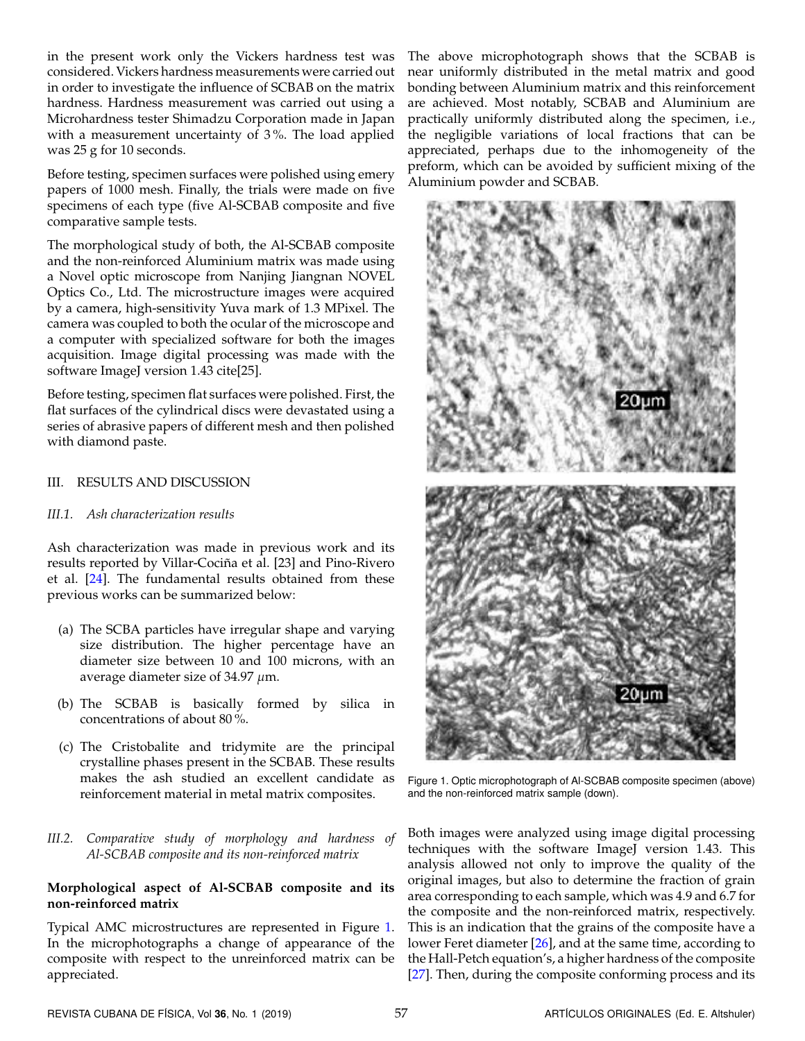in the present work only the Vickers hardness test was considered. Vickers hardness measurements were carried out in order to investigate the influence of SCBAB on the matrix hardness. Hardness measurement was carried out using a Microhardness tester Shimadzu Corporation made in Japan with a measurement uncertainty of 3 %. The load applied was 25 g for 10 seconds.

Before testing, specimen surfaces were polished using emery papers of 1000 mesh. Finally, the trials were made on five specimens of each type (five Al-SCBAB composite and five comparative sample tests.

The morphological study of both, the Al-SCBAB composite and the non-reinforced Aluminium matrix was made using a Novel optic microscope from Nanjing Jiangnan NOVEL Optics Co., Ltd. The microstructure images were acquired by a camera, high-sensitivity Yuva mark of 1.3 MPixel. The camera was coupled to both the ocular of the microscope and a computer with specialized software for both the images acquisition. Image digital processing was made with the software ImageJ version 1.43 cite[25].

Before testing, specimen flat surfaces were polished. First, the flat surfaces of the cylindrical discs were devastated using a series of abrasive papers of different mesh and then polished with diamond paste.

#### III. RESULTS AND DISCUSSION

#### *III.1. Ash characterization results*

Ash characterization was made in previous work and its results reported by Villar-Cociña et al. [23] and Pino-Rivero et al. [\[24\]](#page-4-2). The fundamental results obtained from these previous works can be summarized below:

- (a) The SCBA particles have irregular shape and varying size distribution. The higher percentage have an diameter size between 10 and 100 microns, with an average diameter size of 34.97  $\mu$ m.
- (b) The SCBAB is basically formed by silica in concentrations of about 80 %.
- (c) The Cristobalite and tridymite are the principal crystalline phases present in the SCBAB. These results makes the ash studied an excellent candidate as reinforcement material in metal matrix composites.
- *III.2. Comparative study of morphology and hardness of Al-SCBAB composite and its non-reinforced matrix*

#### **Morphological aspect of Al-SCBAB composite and its non-reinforced matrix**

Typical AMC microstructures are represented in Figure [1.](#page-2-0) In the microphotographs a change of appearance of the composite with respect to the unreinforced matrix can be appreciated.

The above microphotograph shows that the SCBAB is near uniformly distributed in the metal matrix and good bonding between Aluminium matrix and this reinforcement are achieved. Most notably, SCBAB and Aluminium are practically uniformly distributed along the specimen, i.e., the negligible variations of local fractions that can be appreciated, perhaps due to the inhomogeneity of the preform, which can be avoided by sufficient mixing of the Aluminium powder and SCBAB.

<span id="page-2-0"></span>

Figure 1. Optic microphotograph of Al-SCBAB composite specimen (above) and the non-reinforced matrix sample (down).

Both images were analyzed using image digital processing techniques with the software ImageJ version 1.43. This analysis allowed not only to improve the quality of the original images, but also to determine the fraction of grain area corresponding to each sample, which was 4.9 and 6.7 for the composite and the non-reinforced matrix, respectively. This is an indication that the grains of the composite have a lower Feret diameter [\[26\]](#page-4-3), and at the same time, according to the Hall-Petch equation's, a higher hardness of the composite [\[27\]](#page-4-4). Then, during the composite conforming process and its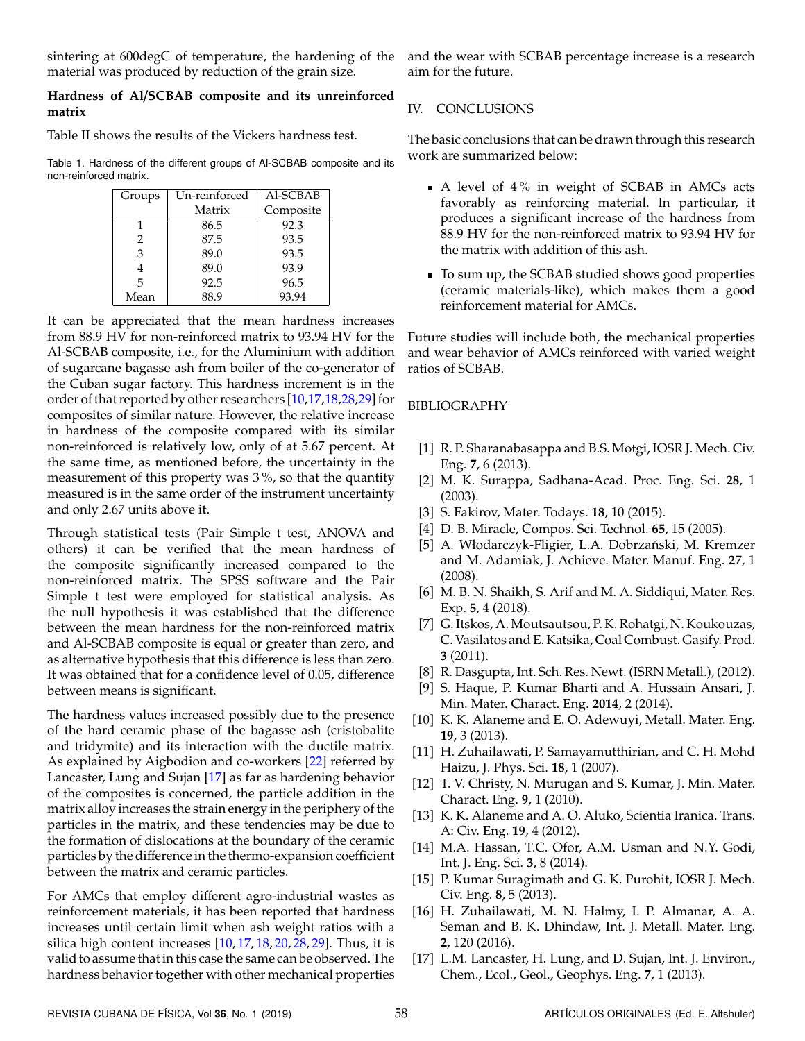sintering at 600degC of temperature, the hardening of the material was produced by reduction of the grain size.

#### **Hardness of Al**/**SCBAB composite and its unreinforced matrix**

Table II shows the results of the Vickers hardness test.

Table 1. Hardness of the different groups of Al-SCBAB composite and its non-reinforced matrix.

| Groups        | Un-reinforced | Al-SCBAB  |
|---------------|---------------|-----------|
|               | Matrix        | Composite |
|               | 86.5          | 92.3      |
| $\mathcal{L}$ | 87.5          | 93.5      |
| 3             | 89.0          | 93.5      |
| 4             | 89.0          | 93.9      |
| 5             | 92.5          | 96.5      |
| Mean          | 88.9          | 93.94     |

It can be appreciated that the mean hardness increases from 88.9 HV for non-reinforced matrix to 93.94 HV for the Al-SCBAB composite, i.e., for the Aluminium with addition of sugarcane bagasse ash from boiler of the co-generator of the Cuban sugar factory. This hardness increment is in the order of that reported by other researchers [\[10,](#page-3-8)[17](#page-3-13)[,18,](#page-4-0)[28,](#page-4-5)[29\]](#page-4-6) for composites of similar nature. However, the relative increase in hardness of the composite compared with its similar non-reinforced is relatively low, only of at 5.67 percent. At the same time, as mentioned before, the uncertainty in the measurement of this property was  $3\%$ , so that the quantity measured is in the same order of the instrument uncertainty and only 2.67 units above it.

Through statistical tests (Pair Simple t test, ANOVA and others) it can be verified that the mean hardness of the composite significantly increased compared to the non-reinforced matrix. The SPSS software and the Pair Simple t test were employed for statistical analysis. As the null hypothesis it was established that the difference between the mean hardness for the non-reinforced matrix and Al-SCBAB composite is equal or greater than zero, and as alternative hypothesis that this difference is less than zero. It was obtained that for a confidence level of 0.05, difference between means is significant.

The hardness values increased possibly due to the presence of the hard ceramic phase of the bagasse ash (cristobalite and tridymite) and its interaction with the ductile matrix. As explained by Aigbodion and co-workers [\[22\]](#page-4-1) referred by Lancaster, Lung and Sujan [\[17\]](#page-3-13) as far as hardening behavior of the composites is concerned, the particle addition in the matrix alloy increases the strain energy in the periphery of the particles in the matrix, and these tendencies may be due to the formation of dislocations at the boundary of the ceramic particles by the difference in the thermo-expansion coefficient between the matrix and ceramic particles.

For AMCs that employ different agro-industrial wastes as reinforcement materials, it has been reported that hardness increases until certain limit when ash weight ratios with a silica high content increases [\[10,](#page-3-8) [17,](#page-3-13) [18,](#page-4-0) [20,](#page-4-7) [28,](#page-4-5) [29\]](#page-4-6). Thus, it is valid to assume that in this case the same can be observed. The hardness behavior together with other mechanical properties

and the wear with SCBAB percentage increase is a research aim for the future.

#### IV. CONCLUSIONS

The basic conclusions that can be drawn through this research work are summarized below:

- A level of 4 % in weight of SCBAB in AMCs acts favorably as reinforcing material. In particular, it produces a significant increase of the hardness from 88.9 HV for the non-reinforced matrix to 93.94 HV for the matrix with addition of this ash.
- To sum up, the SCBAB studied shows good properties (ceramic materials-like), which makes them a good reinforcement material for AMCs.

Future studies will include both, the mechanical properties and wear behavior of AMCs reinforced with varied weight ratios of SCBAB.

#### BIBLIOGRAPHY

- <span id="page-3-0"></span>[1] R. P. Sharanabasappa and B.S. Motgi, IOSR J. Mech. Civ. Eng. **7**, 6 (2013).
- <span id="page-3-1"></span>[2] M. K. Surappa, Sadhana-Acad. Proc. Eng. Sci. **28**, 1 (2003).
- <span id="page-3-2"></span>[3] S. Fakirov, Mater. Todays. **18**, 10 (2015).
- <span id="page-3-3"></span>[4] D. B. Miracle, Compos. Sci. Technol. **65**, 15 (2005).
- [5] A. Włodarczyk-Fligier, L.A. Dobrzański, M. Kremzer and M. Adamiak, J. Achieve. Mater. Manuf. Eng. **27**, 1 (2008).
- <span id="page-3-5"></span>[6] M. B. N. Shaikh, S. Arif and M. A. Siddiqui, Mater. Res. Exp. **5**, 4 (2018).
- <span id="page-3-6"></span>[7] G. Itskos, A. Moutsautsou, P. K. Rohatgi, N. Koukouzas, C. Vasilatos and E. Katsika, Coal Combust. Gasify. Prod. **3** (2011).
- <span id="page-3-4"></span>[8] R. Dasgupta, Int. Sch. Res. Newt. (ISRN Metall.), (2012).
- <span id="page-3-7"></span>[9] S. Haque, P. Kumar Bharti and A. Hussain Ansari, J. Min. Mater. Charact. Eng. **2014**, 2 (2014).
- <span id="page-3-8"></span>[10] K. K. Alaneme and E. O. Adewuyi, Metall. Mater. Eng. **19**, 3 (2013).
- [11] H. Zuhailawati, P. Samayamutthirian, and C. H. Mohd Haizu, J. Phys. Sci. **18**, 1 (2007).
- <span id="page-3-11"></span>[12] T. V. Christy, N. Murugan and S. Kumar, J. Min. Mater. Charact. Eng. **9**, 1 (2010).
- [13] K. K. Alaneme and A. O. Aluko, Scientia Iranica. Trans. A: Civ. Eng. **19**, 4 (2012).
- <span id="page-3-9"></span>[14] M.A. Hassan, T.C. Ofor, A.M. Usman and N.Y. Godi, Int. J. Eng. Sci. **3**, 8 (2014).
- <span id="page-3-10"></span>[15] P. Kumar Suragimath and G. K. Purohit, IOSR J. Mech. Civ. Eng. **8**, 5 (2013).
- <span id="page-3-12"></span>[16] H. Zuhailawati, M. N. Halmy, I. P. Almanar, A. A. Seman and B. K. Dhindaw, Int. J. Metall. Mater. Eng. **2**, 120 (2016).
- <span id="page-3-13"></span>[17] L.M. Lancaster, H. Lung, and D. Sujan, Int. J. Environ., Chem., Ecol., Geol., Geophys. Eng. **7**, 1 (2013).